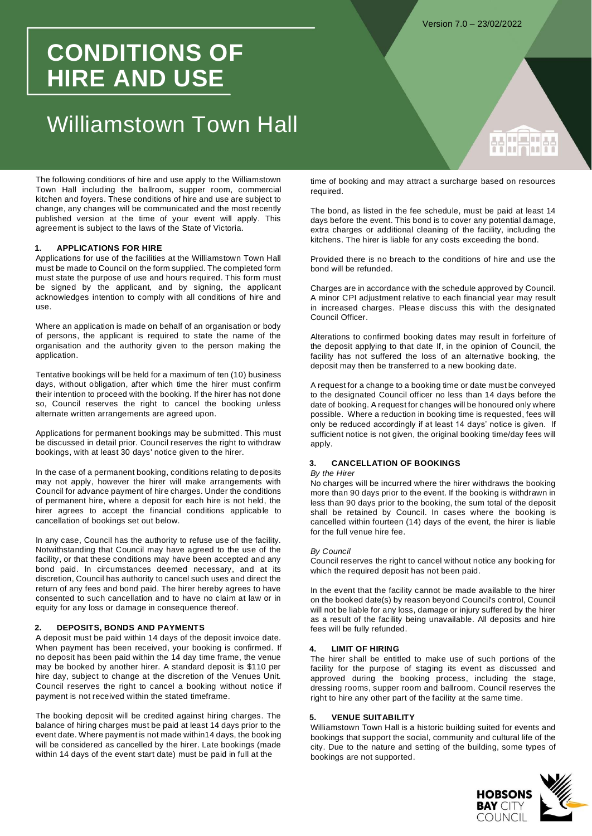**Hurlich** 

# **CONDITIONS OF HIRE AND USE**

# Williamstown Town Hall

The following conditions of hire and use apply to the Williamstown Town Hall including the ballroom, supper room, commercial kitchen and foyers. These conditions of hire and use are subject to change, any changes will be communicated and the most recently published version at the time of your event will apply. This agreement is subject to the laws of the State of Victoria.

# **1. APPLICATIONS FOR HIRE**

Applications for use of the facilities at the Williamstown Town Hall must be made to Council on the form supplied. The completed form must state the purpose of use and hours required. This form must be signed by the applicant, and by signing, the applicant acknowledges intention to comply with all conditions of hire and use.

Where an application is made on behalf of an organisation or body of persons, the applicant is required to state the name of the organisation and the authority given to the person making the application.

Tentative bookings will be held for a maximum of ten (10) business days, without obligation, after which time the hirer must confirm their intention to proceed with the booking. If the hirer has not done so, Council reserves the right to cancel the booking unless alternate written arrangements are agreed upon.

Applications for permanent bookings may be submitted. This must be discussed in detail prior. Council reserves the right to withdraw bookings, with at least 30 days' notice given to the hirer.

In the case of a permanent booking, conditions relating to deposits may not apply, however the hirer will make arrangements with Council for advance payment of hire charges. Under the conditions of permanent hire, where a deposit for each hire is not held, the hirer agrees to accept the financial conditions applicable to cancellation of bookings set out below.

In any case, Council has the authority to refuse use of the facility. Notwithstanding that Council may have agreed to the use of the facility, or that these conditions may have been accepted and any bond paid. In circumstances deemed necessary, and at its discretion, Council has authority to cancel such uses and direct the return of any fees and bond paid. The hirer hereby agrees to have consented to such cancellation and to have no claim at law or in equity for any loss or damage in consequence thereof.

### **2. DEPOSITS, BONDS AND PAYMENTS**

A deposit must be paid within 14 days of the deposit invoice date. When payment has been received, your booking is confirmed. If no deposit has been paid within the 14 day time frame, the venue may be booked by another hirer. A standard deposit is \$110 per hire day, subject to change at the discretion of the Venues Unit. Council reserves the right to cancel a booking without notice if payment is not received within the stated timeframe.

The booking deposit will be credited against hiring charges. The balance of hiring charges must be paid at least 14 days prior to the event date. Where payment is not made within14 days, the book ing will be considered as cancelled by the hirer. Late bookings (made within 14 days of the event start date) must be paid in full at the

time of booking and may attract a surcharge based on resources required.

The bond, as listed in the fee schedule, must be paid at least 14 days before the event. This bond is to cover any potential damage, extra charges or additional cleaning of the facility, including the kitchens. The hirer is liable for any costs exceeding the bond.

Provided there is no breach to the conditions of hire and use the bond will be refunded.

Charges are in accordance with the schedule approved by Council. A minor CPI adjustment relative to each financial year may result in increased charges. Please discuss this with the designated Council Officer.

Alterations to confirmed booking dates may result in forfeiture of the deposit applying to that date If, in the opinion of Council, the facility has not suffered the loss of an alternative booking, the deposit may then be transferred to a new booking date.

A request for a change to a booking time or date must be conveyed to the designated Council officer no less than 14 days before the date of booking. A request for changes will be honoured only where possible. Where a reduction in booking time is requested, fees will only be reduced accordingly if at least 14 days' notice is given. If sufficient notice is not given, the original booking time/day fees will apply.

# **3. CANCELLATION OF BOOKINGS**

# *By the Hirer*

No charges will be incurred where the hirer withdraws the booking more than 90 days prior to the event. If the booking is withdrawn in less than 90 days prior to the booking, the sum total of the deposit shall be retained by Council. In cases where the booking is cancelled within fourteen (14) days of the event, the hirer is liable for the full venue hire fee.

#### *By Council*

Council reserves the right to cancel without notice any booking for which the required deposit has not been paid.

In the event that the facility cannot be made available to the hirer on the booked date(s) by reason beyond Council's control, Council will not be liable for any loss, damage or injury suffered by the hirer as a result of the facility being unavailable. All deposits and hire fees will be fully refunded.

#### **4. LIMIT OF HIRING**

The hirer shall be entitled to make use of such portions of the facility for the purpose of staging its event as discussed and approved during the booking process, including the stage, dressing rooms, supper room and ballroom. Council reserves the right to hire any other part of the facility at the same time.

# **5. VENUE SUITABILITY**

Williamstown Town Hall is a historic building suited for events and bookings that support the social, community and cultural life of the city. Due to the nature and setting of the building, some types of bookings are not supported.

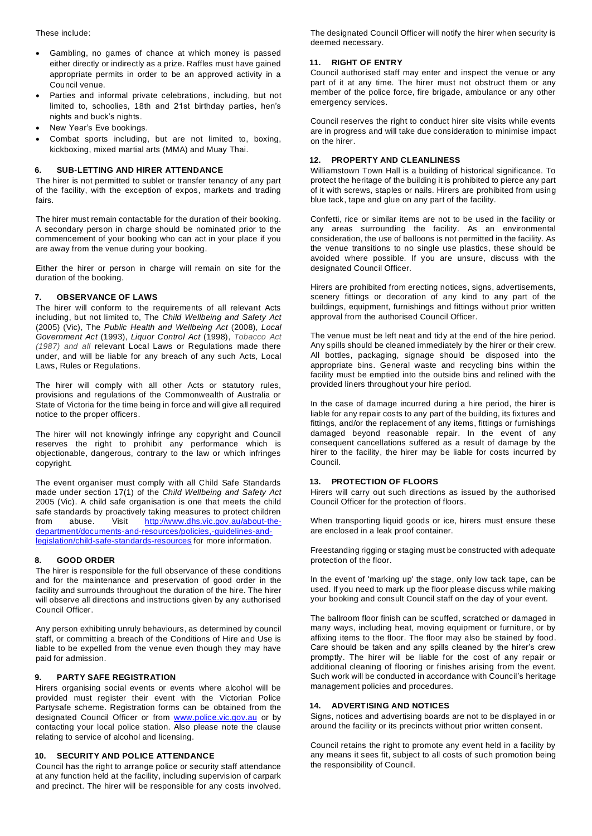These include:

- Gambling, no games of chance at which money is passed either directly or indirectly as a prize. Raffles must have gained appropriate permits in order to be an approved activity in a Council venue.
- Parties and informal private celebrations, including, but not limited to, schoolies, 18th and 21st birthday parties, hen's nights and buck's nights.
- New Year's Eve bookings.
- Combat sports including, but are not limited to, boxing, kickboxing, mixed martial arts (MMA) and Muay Thai.

# **6. SUB-LETTING AND HIRER ATTENDANCE**

The hirer is not permitted to sublet or transfer tenancy of any part of the facility, with the exception of expos, markets and trading fairs.

The hirer must remain contactable for the duration of their booking. A secondary person in charge should be nominated prior to the commencement of your booking who can act in your place if you are away from the venue during your booking.

Either the hirer or person in charge will remain on site for the duration of the booking.

# **7. OBSERVANCE OF LAWS**

The hirer will conform to the requirements of all relevant Acts including, but not limited to, The *Child Wellbeing and Safety Act*  (2005) (Vic), The *Public Health and Wellbeing Act* (2008), *Local Government Act* (1993), *Liquor Control Act* (1998), *Tobacco Act (1987) and all* relevant Local Laws or Regulations made there under, and will be liable for any breach of any such Acts, Local Laws, Rules or Regulations.

The hirer will comply with all other Acts or statutory rules, provisions and regulations of the Commonwealth of Australia or State of Victoria for the time being in force and will give all required notice to the proper officers.

The hirer will not knowingly infringe any copyright and Council reserves the right to prohibit any performance which is objectionable, dangerous, contrary to the law or which infringes copyright.

The event organiser must comply with all Child Safe Standards made under section 17(1) of the *Child Wellbeing and Safety Act*  2005 (Vic). A child safe organisation is one that meets the child safe standards by proactively taking measures to protect children from abuse. Visit [http://www.dhs.vic.gov.au/about-the](http://www.dhs.vic.gov.au/about-the-department/documents-and-resources/policies,-guidelines-and-legislation/child-safe-standards-resources)[department/documents-and-resources/policies,-guidelines-and](http://www.dhs.vic.gov.au/about-the-department/documents-and-resources/policies,-guidelines-and-legislation/child-safe-standards-resources)[legislation/child-safe-standards-resources](http://www.dhs.vic.gov.au/about-the-department/documents-and-resources/policies,-guidelines-and-legislation/child-safe-standards-resources) for more information.

# **8. GOOD ORDER**

The hirer is responsible for the full observance of these conditions and for the maintenance and preservation of good order in the facility and surrounds throughout the duration of the hire. The hirer will observe all directions and instructions given by any authorised Council Officer.

Any person exhibiting unruly behaviours, as determined by council staff, or committing a breach of the Conditions of Hire and Use is liable to be expelled from the venue even though they may have paid for admission.

# **9. PARTY SAFE REGISTRATION**

Hirers organising social events or events where alcohol will be provided must register their event with the Victorian Police Partysafe scheme. Registration forms can be obtained from the designated Council Officer or from **www.police.vic.gov.au** or by contacting your local police station. Also please note the clause relating to service of alcohol and licensing.

# **10. SECURITY AND POLICE ATTENDANCE**

Council has the right to arrange police or security staff attendance at any function held at the facility, including supervision of carpark and precinct. The hirer will be responsible for any costs involved.

The designated Council Officer will notify the hirer when security is deemed necessary.

# **11. RIGHT OF ENTRY**

Council authorised staff may enter and inspect the venue or any part of it at any time. The hirer must not obstruct them or any member of the police force, fire brigade, ambulance or any other emergency services.

Council reserves the right to conduct hirer site visits while events are in progress and will take due consideration to minimise impact on the hirer.

# **12. PROPERTY AND CLEANLINESS**

Williamstown Town Hall is a building of historical significance. To protect the heritage of the building it is prohibited to pierce any part of it with screws, staples or nails. Hirers are prohibited from using blue tack, tape and glue on any part of the facility.

Confetti, rice or similar items are not to be used in the facility or any areas surrounding the facility. As an environmental consideration, the use of balloons is not permitted in the facility. As the venue transitions to no single use plastics, these should be avoided where possible. If you are unsure, discuss with the designated Council Officer.

Hirers are prohibited from erecting notices, signs, advertisements, scenery fittings or decoration of any kind to any part of the buildings, equipment, furnishings and fittings without prior written approval from the authorised Council Officer.

The venue must be left neat and tidy at the end of the hire period. Any spills should be cleaned immediately by the hirer or their crew. All bottles, packaging, signage should be disposed into the appropriate bins. General waste and recycling bins within the facility must be emptied into the outside bins and relined with the provided liners throughout your hire period.

In the case of damage incurred during a hire period, the hirer is liable for any repair costs to any part of the building, its fixtures and fittings, and/or the replacement of any items, fittings or furnishings damaged beyond reasonable repair. In the event of any consequent cancellations suffered as a result of damage by the hirer to the facility, the hirer may be liable for costs incurred by Council.

## **13. PROTECTION OF FLOORS**

Hirers will carry out such directions as issued by the authorised Council Officer for the protection of floors.

When transporting liquid goods or ice, hirers must ensure these are enclosed in a leak proof container.

Freestanding rigging or staging must be constructed with adequate protection of the floor.

In the event of 'marking up' the stage, only low tack tape, can be used. If you need to mark up the floor please discuss while making your booking and consult Council staff on the day of your event.

The ballroom floor finish can be scuffed, scratched or damaged in many ways, including heat, moving equipment or furniture, or by affixing items to the floor. The floor may also be stained by food. Care should be taken and any spills cleaned by the hirer's crew promptly. The hirer will be liable for the cost of any repair or additional cleaning of flooring or finishes arising from the event. Such work will be conducted in accordance with Council's heritage management policies and procedures.

# **14. ADVERTISING AND NOTICES**

Signs, notices and advertising boards are not to be displayed in or around the facility or its precincts without prior written consent.

Council retains the right to promote any event held in a facility by any means it sees fit, subject to all costs of such promotion being the responsibility of Council.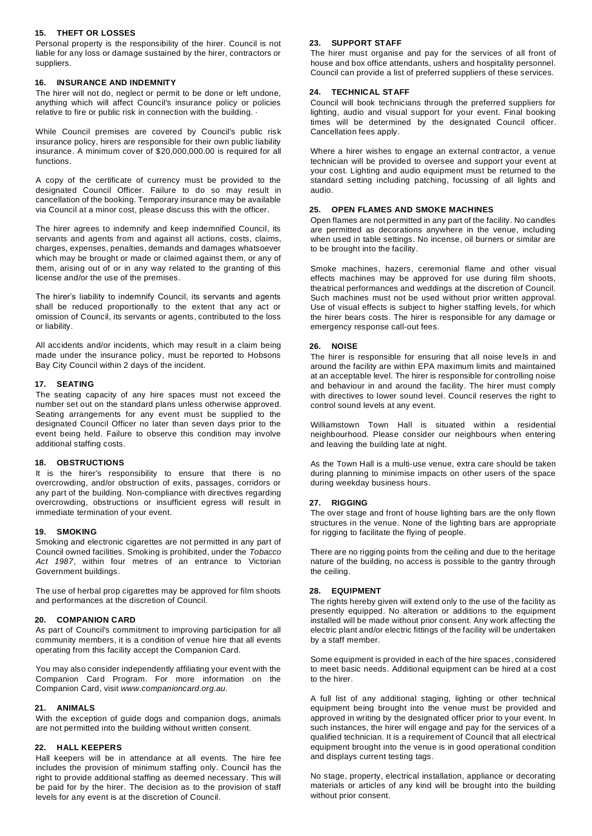# **15. THEFT OR LOSSES**

Personal property is the responsibility of the hirer. Council is not liable for any loss or damage sustained by the hirer, contractors or suppliers.

### **16. INSURANCE AND INDEMNITY**

The hirer will not do, neglect or permit to be done or left undone, anything which will affect Council's insurance policy or policies relative to fire or public risk in connection with the building. ·

While Council premises are covered by Council's public risk insurance policy, hirers are responsible for their own public liability insurance. A minimum cover of \$20,000,000.00 is required for all functions.

A copy of the certificate of currency must be provided to the designated Council Officer. Failure to do so may result in cancellation of the booking. Temporary insurance may be available via Council at a minor cost, please discuss this with the officer.

The hirer agrees to indemnify and keep indemnified Council, its servants and agents from and against all actions, costs, claims, charges, expenses, penalties, demands and damages whatsoever which may be brought or made or claimed against them, or any of them, arising out of or in any way related to the granting of this license and/or the use of the premises.

The hirer's liability to indemnify Council, its servants and agents shall be reduced proportionally to the extent that any act or omission of Council, its servants or agents, contributed to the loss or liability.

All accidents and/or incidents, which may result in a claim being made under the insurance policy, must be reported to Hobsons Bay City Council within 2 days of the incident.

# **17. SEATING**

The seating capacity of any hire spaces must not exceed the number set out on the standard plans unless otherwise approved. Seating arrangements for any event must be supplied to the designated Council Officer no later than seven days prior to the event being held. Failure to observe this condition may involve additional staffing costs.

### **18. OBSTRUCTIONS**

It is the hirer's responsibility to ensure that there is no overcrowding, and/or obstruction of exits, passages, corridors or any part of the building. Non-compliance with directives regarding overcrowding, obstructions or insufficient egress will result in immediate termination of your event.

#### **19. SMOKING**

Smoking and electronic cigarettes are not permitted in any part of Council owned facilities. Smoking is prohibited, under the *Tobacco Act 1987*, within four metres of an entrance to Victorian Government buildings.

The use of herbal prop cigarettes may be approved for film shoots and performances at the discretion of Council.

#### **20. COMPANION CARD**

As part of Council's commitment to improving participation for all community members, it is a condition of venue hire that all events operating from this facility accept the Companion Card.

You may also consider independently affiliating your event with the Companion Card Program. For more information on the Companion Card, visit *www.companioncard.org.au.*

#### **21. ANIMALS**

With the exception of guide dogs and companion dogs, animals are not permitted into the building without written consent.

#### **22. HALL KEEPERS**

Hall keepers will be in attendance at all events. The hire fee includes the provision of minimum staffing only. Council has the right to provide additional staffing as deemed necessary. This will be paid for by the hirer. The decision as to the provision of staff levels for any event is at the discretion of Council.

# **23. SUPPORT STAFF**

The hirer must organise and pay for the services of all front of house and box office attendants, ushers and hospitality personnel. Council can provide a list of preferred suppliers of these services.

## **24. TECHNICAL STAFF**

Council will book technicians through the preferred suppliers for lighting, audio and visual support for your event. Final booking times will be determined by the designated Council officer. Cancellation fees apply.

Where a hirer wishes to engage an external contractor, a venue technician will be provided to oversee and support your event at your cost. Lighting and audio equipment must be returned to the standard setting including patching, focussing of all lights and audio.

## **25. OPEN FLAMES AND SMOKE MACHINES**

Open flames are not permitted in any part of the facility. No candles are permitted as decorations anywhere in the venue, including when used in table settings. No incense, oil burners or similar are to be brought into the facility.

Smoke machines, hazers, ceremonial flame and other visual effects machines may be approved for use during film shoots, theatrical performances and weddings at the discretion of Council. Such machines must not be used without prior written approval. Use of visual effects is subject to higher staffing levels, for which the hirer bears costs. The hirer is responsible for any damage or emergency response call-out fees.

# **26. NOISE**

The hirer is responsible for ensuring that all noise levels in and around the facility are within EPA maximum limits and maintained at an acceptable level. The hirer is responsible for controlling noise and behaviour in and around the facility. The hirer must comply with directives to lower sound level. Council reserves the right to control sound levels at any event.

Williamstown Town Hall is situated within a residential neighbourhood. Please consider our neighbours when entering and leaving the building late at night.

As the Town Hall is a multi-use venue, extra care should be taken during planning to minimise impacts on other users of the space during weekday business hours.

#### **27. RIGGING**

The over stage and front of house lighting bars are the only flown structures in the venue. None of the lighting bars are appropriate for rigging to facilitate the flying of people.

There are no rigging points from the ceiling and due to the heritage nature of the building, no access is possible to the gantry through the ceiling.

## **28. EQUIPMENT**

The rights hereby given will extend only to the use of the facility as presently equipped. No alteration or additions to the equipment installed will be made without prior consent. Any work affecting the electric plant and/or electric fittings of the facility will be undertaken by a staff member.

Some equipment is provided in each of the hire spaces, considered to meet basic needs. Additional equipment can be hired at a cost to the hirer.

A full list of any additional staging, lighting or other technical equipment being brought into the venue must be provided and approved in writing by the designated officer prior to your event. In such instances, the hirer will engage and pay for the services of a qualified technician. It is a requirement of Council that all electrical equipment brought into the venue is in good operational condition and displays current testing tags.

No stage, property, electrical installation, appliance or decorating materials or articles of any kind will be brought into the building without prior consent.